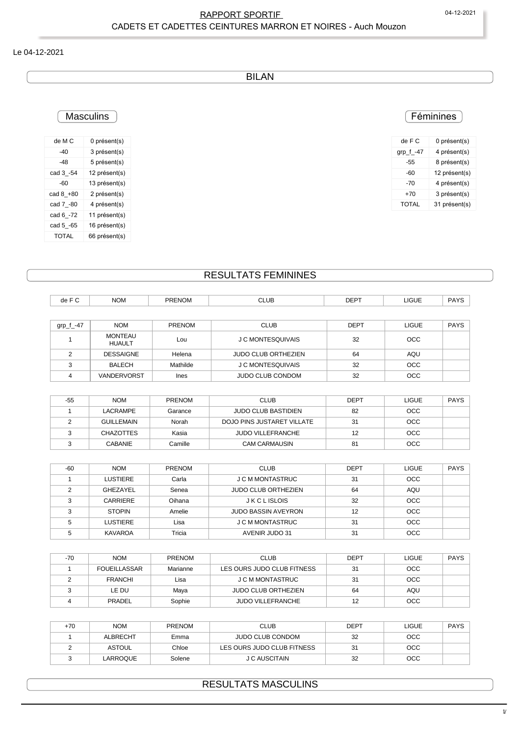### RAPPORT SPORTIF 
O4-12-2021 CADETS ET CADETTES CEINTURES MARRON ET NOIRES - Auch Mouzon

#### Le 04-12-2021

BILAN

### **Masculins**

| de M C       | 0 présent(s)  |
|--------------|---------------|
| $-40$        | 3 présent(s)  |
| $-48$        | 5 présent(s)  |
| cad 3_-54    | 12 présent(s) |
| $-60$        | 13 présent(s) |
| cad 8_+80    | 2 présent(s)  |
| cad 7_-80    | 4 présent(s)  |
| cad 6_-72    | 11 présent(s) |
| cad 5_-65    | 16 présent(s) |
| <b>TOTAL</b> | 66 présent(s) |

### Féminines

| de F C       | 0 présent(s)  |
|--------------|---------------|
| grp_f_-47    | 4 présent(s)  |
| -55          | 8 présent(s)  |
| -60          | 12 présent(s) |
| -70          | 4 présent(s)  |
| $+70$        | 3 présent(s)  |
| <b>TOTAL</b> | 31 présent(s) |
|              |               |

## RESULTATS FEMININES

| de F C       | <b>NOM</b>                      | <b>PRENOM</b> | <b>CLUB</b>                       | <b>DEPT</b> | <b>LIGUE</b> | <b>PAYS</b> |
|--------------|---------------------------------|---------------|-----------------------------------|-------------|--------------|-------------|
|              |                                 |               |                                   |             |              |             |
| grp_f_-47    | <b>NOM</b>                      | <b>PRENOM</b> | <b>CLUB</b>                       | <b>DEPT</b> | <b>LIGUE</b> | <b>PAYS</b> |
|              | <b>MONTEAU</b><br><b>HUAULT</b> | Lou           | J C MONTESQUIVAIS                 | 32          | <b>OCC</b>   |             |
| 2            | <b>DESSAIGNE</b>                | Helena        | <b>JUDO CLUB ORTHEZIEN</b>        | 64          | AQU          |             |
| 3            | <b>BALECH</b>                   | Mathilde      | J C MONTESQUIVAIS                 | 32          | <b>OCC</b>   |             |
| 4            | VANDERVORST                     | <b>Ines</b>   | <b>JUDO CLUB CONDOM</b>           | 32          | <b>OCC</b>   |             |
|              |                                 |               |                                   |             |              |             |
| $-55$        | <b>NOM</b>                      | <b>PRENOM</b> | <b>CLUB</b>                       | <b>DEPT</b> | <b>LIGUE</b> | <b>PAYS</b> |
| $\mathbf{1}$ | <b>LACRAMPE</b>                 | Garance       | <b>JUDO CLUB BASTIDIEN</b>        | 82          | <b>OCC</b>   |             |
| 2            | <b>GUILLEMAIN</b>               | Norah         | <b>DOJO PINS JUSTARET VILLATE</b> | 31          | OCC          |             |
| 3            | <b>CHAZOTTES</b>                | Kasia         | <b>JUDO VILLEFRANCHE</b>          | 12          | OCC          |             |
| 3            | <b>CABANIE</b>                  | Camille       | <b>CAM CARMAUSIN</b>              | 81          | <b>OCC</b>   |             |

| $-60$ | <b>NOM</b>    | <b>PRENOM</b> |                            |             |              |             |
|-------|---------------|---------------|----------------------------|-------------|--------------|-------------|
|       |               |               | <b>CLUB</b>                | <b>DEPT</b> | <b>LIGUE</b> | <b>PAYS</b> |
|       | LUSTIERE      | Carla         | J C M MONTASTRUC           | 31          | <b>OCC</b>   |             |
|       | GHEZAYEL      | Senea         | <b>JUDO CLUB ORTHEZIEN</b> | 64          | AQU          |             |
|       | CARRIERE      | Oihana        | <b>JKCLISLOIS</b>          | 32          | <b>OCC</b>   |             |
|       | <b>STOPIN</b> | Amelie        | <b>JUDO BASSIN AVEYRON</b> | 12          | <b>OCC</b>   |             |
|       | LUSTIERE      | Lisa          | J C M MONTASTRUC           | 31          | <b>OCC</b>   |             |
|       | KAVAROA       | Tricia        | AVENIR JUDO 31             | 31          | <b>OCC</b>   |             |

| $-70$ | <b>NOM</b>          | <b>PRENOM</b> | <b>CLUB</b>                | <b>DEPT</b> | LIGUE      | <b>PAYS</b> |
|-------|---------------------|---------------|----------------------------|-------------|------------|-------------|
|       | <b>FOUEILLASSAR</b> | Marianne      | LES OURS JUDO CLUB FITNESS | 31          | <b>OCC</b> |             |
|       | <b>FRANCHI</b>      | Lisa          | J C M MONTASTRUC           | 31          | <b>OCC</b> |             |
|       | LE DU               | Maya          | <b>JUDO CLUB ORTHEZIEN</b> | 64          | AQU        |             |
|       | PRADEL              | Sophie        | JUDO VILLEFRANCHE          | 12          | <b>OCC</b> |             |

| $+70$ | <b>NOM</b>    | <b>PRENOM</b> | <b>CLUB</b>                | <b>DEPT</b> | LIGUE      | <b>PAYS</b> |
|-------|---------------|---------------|----------------------------|-------------|------------|-------------|
|       | ALBRECHT      | Emma          | JUDO CLUB CONDOM           | 32          | <b>OCC</b> |             |
|       | <b>ASTOUL</b> | Chloe         | LES OURS JUDO CLUB FITNESS | 31          | <b>OCC</b> |             |
|       | LARROQUE      | Solene        | J C AUSCITAIN              | 32          | <b>OCC</b> |             |

### RESULTATS MASCULINS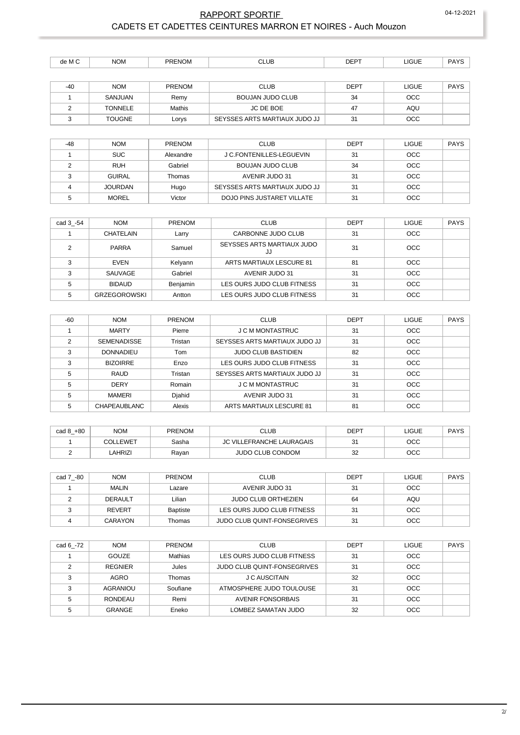### RAPPORT SPORTIF 04-12-2021 CADETS ET CADETTES CEINTURES MARRON ET NOIRES - Auch Mouzon

| dе<br>ĸл | <b>NOM</b> | <b>IN</b><br>⊢N€ | $ -$ | . <i>.</i><br>∙∟ت | <b>IGUE</b><br>___ | $\sqrt{2}$ |
|----------|------------|------------------|------|-------------------|--------------------|------------|
|          |            |                  |      |                   |                    |            |

| $-40$ | <b>NOM</b>     | <b>PRENOM</b> | <b>CLUB</b>                   | DEPT | LIGUE      | <b>PAYS</b> |
|-------|----------------|---------------|-------------------------------|------|------------|-------------|
|       | SANJUAN        | Remy          | BOUJAN JUDO CLUB              | 34   | <b>OCC</b> |             |
|       | <b>TONNELE</b> | Mathis        | JC DE BOE                     | 47   | AQU        |             |
|       | <b>TOUGNE</b>  | Lorys         | SEYSSES ARTS MARTIAUX JUDO JJ | 31   | <b>OCC</b> |             |

| $-48$ | <b>NOM</b>     | PRENOM    | <b>CLUB</b>                   | <b>DEPT</b> | <b>LIGUE</b> | <b>PAYS</b> |
|-------|----------------|-----------|-------------------------------|-------------|--------------|-------------|
|       | <b>SUC</b>     | Alexandre | J C.FONTENILLES-LEGUEVIN      | 31          | <b>OCC</b>   |             |
|       | <b>RUH</b>     | Gabriel   | BOUJAN JUDO CLUB              | 34          | <b>OCC</b>   |             |
|       | <b>GUIRAL</b>  | Thomas    | AVENIR JUDO 31                | 31          | <b>OCC</b>   |             |
|       | <b>JOURDAN</b> | Hugo      | SEYSSES ARTS MARTIAUX JUDO JJ | 31          | <b>OCC</b>   |             |
|       | <b>MOREL</b>   | Victor    | DOJO PINS JUSTARET VILLATE    | 31          | <b>OCC</b>   |             |

| cad 3 -54 | <b>NOM</b>          | <b>PRENOM</b> | <b>CLUB</b>                      | DEPT | <b>LIGUE</b> | <b>PAYS</b> |
|-----------|---------------------|---------------|----------------------------------|------|--------------|-------------|
|           | CHATELAIN           | Larry         | CARBONNE JUDO CLUB               | 31   | <b>OCC</b>   |             |
|           | <b>PARRA</b>        | Samuel        | SEYSSES ARTS MARTIAUX JUDO<br>JJ | 31   | <b>OCC</b>   |             |
| ∘         | <b>EVEN</b>         | Kelyann       | ARTS MARTIAUX LESCURE 81         | 81   | <b>OCC</b>   |             |
|           | SAUVAGE             | Gabriel       | AVENIR JUDO 31                   | 31   | <b>OCC</b>   |             |
|           | <b>BIDAUD</b>       | Benjamin      | LES OURS JUDO CLUB FITNESS       | 31   | <b>OCC</b>   |             |
| 5         | <b>GRZEGOROWSKI</b> | Antton        | LES OURS JUDO CLUB FITNESS       | 31   | <b>OCC</b>   |             |

| -60 | <b>NOM</b>          | <b>PRENOM</b> | <b>CLUB</b>                   | <b>DEPT</b> | <b>LIGUE</b> | <b>PAYS</b> |
|-----|---------------------|---------------|-------------------------------|-------------|--------------|-------------|
|     | <b>MARTY</b>        | Pierre        | J C M MONTASTRUC              | 31          | <b>OCC</b>   |             |
| っ   | <b>SEMENADISSE</b>  | Tristan       | SEYSSES ARTS MARTIAUX JUDO JJ | 31          | <b>OCC</b>   |             |
| 3   | <b>DONNADIEU</b>    | Tom           | <b>JUDO CLUB BASTIDIEN</b>    | 82          | <b>OCC</b>   |             |
| 3   | <b>BIZOIRRE</b>     | Enzo          | LES OURS JUDO CLUB FITNESS    | 31          | <b>OCC</b>   |             |
| 5   | <b>RAUD</b>         | Tristan       | SEYSSES ARTS MARTIAUX JUDO JJ | 31          | <b>OCC</b>   |             |
| 5   | <b>DERY</b>         | Romain        | J C M MONTASTRUC              | 31          | <b>OCC</b>   |             |
| 5   | <b>MAMERI</b>       | Diahid        | AVENIR JUDO 31                | 31          | <b>OCC</b>   |             |
| 5   | <b>CHAPEAUBLANC</b> | Alexis        | ARTS MARTIAUX LESCURE 81      | 81          | <b>OCC</b>   |             |

| $+80$<br>cad 8 | <b>NOM</b> | <b>PRENOM</b> | CLUB                      | DEPT | LIGUE | <b>PAYS</b> |
|----------------|------------|---------------|---------------------------|------|-------|-------------|
|                | COLLEWET   | Sasha         | JC VILLEFRANCHE LAURAGAIS | ີ    | осс   |             |
|                | AHRIZI     | Rayan         | JUDO CLUB CONDOM          | 32   | осс   |             |

| cad 7 -80 | <b>NOM</b>    | <b>PRENOM</b>   | <b>CLUB</b>                        | <b>DEPT</b> | <b>LIGUE</b> | <b>PAYS</b> |
|-----------|---------------|-----------------|------------------------------------|-------------|--------------|-------------|
|           | <b>MALIN</b>  | Lazare          | AVENIR JUDO 31                     | 31          | <b>OCC</b>   |             |
|           | DERAULT       | Lilian          | <b>JUDO CLUB ORTHEZIEN</b>         | 64          | AQU          |             |
|           | <b>REVERT</b> | <b>Baptiste</b> | LES OURS JUDO CLUB FITNESS         | 31          | <b>OCC</b>   |             |
|           | CARAYON       | Thomas          | <b>JUDO CLUB QUINT-FONSEGRIVES</b> | 31          | <b>OCC</b>   |             |

| cad 6 -72 | <b>NOM</b>     | <b>PRENOM</b>  | <b>CLUB</b>                 | <b>DEPT</b> | <b>LIGUE</b> | <b>PAYS</b> |
|-----------|----------------|----------------|-----------------------------|-------------|--------------|-------------|
|           | <b>GOUZE</b>   | <b>Mathias</b> | LES OURS JUDO CLUB FITNESS  | 31          | <b>OCC</b>   |             |
|           | <b>REGNIER</b> | Jules          | JUDO CLUB QUINT-FONSEGRIVES | 31          | <b>OCC</b>   |             |
|           | AGRO           | Thomas         | J C AUSCITAIN               | 32          | <b>OCC</b>   |             |
|           | AGRANIOU       | Soufiane       | ATMOSPHERE JUDO TOULOUSE    | 31          | <b>OCC</b>   |             |
|           | RONDEAU        | Remi           | AVENIR FONSORBAIS           | 31          | <b>OCC</b>   |             |
|           | <b>GRANGE</b>  | Eneko          | LOMBEZ SAMATAN JUDO         | 32          | <b>OCC</b>   |             |